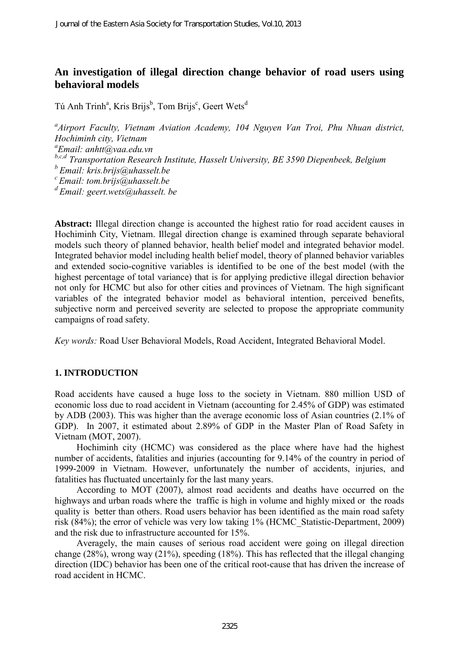# **An investigation of illegal direction change behavior of road users using behavioral models**

Tú Anh Trinh<sup>a</sup>, Kris Brijs<sup>b</sup>, Tom Brijs<sup>c</sup>, Geert Wets<sup>d</sup>

*a Airport Faculty, Vietnam Aviation Academy, 104 Nguyen Van Troi, Phu Nhuan district, Hochiminh city, Vietnam a Email: [anhtt@vaa.edu.vn](mailto:anhtt@vaa.edu.vn) b,c,d Transportation Research Institute, Hasselt University, BE 3590 Diepenbeek, Belgium <sup>b</sup>Email: kris.brijs@uhasselt.be <sup>c</sup>Email: [tom.brijs@uhasselt.be](mailto:tom.brijs@uhasselt.be) <sup>d</sup>Email: [geert.wets@uhasselt.](mailto:geert.wets@uhasselt) be* 

**Abstract:** Illegal direction change is accounted the highest ratio for road accident causes in Hochiminh City, Vietnam. Illegal direction change is examined through separate behavioral models such theory of planned behavior, health belief model and integrated behavior model. Integrated behavior model including health belief model, theory of planned behavior variables and extended socio-cognitive variables is identified to be one of the best model (with the highest percentage of total variance) that is for applying predictive illegal direction behavior not only for HCMC but also for other cities and provinces of Vietnam. The high significant variables of the integrated behavior model as behavioral intention, perceived benefits, subjective norm and perceived severity are selected to propose the appropriate community campaigns of road safety.

*Key words:* Road User Behavioral Models, Road Accident, Integrated Behavioral Model.

## **1. INTRODUCTION**

Road accidents have caused a huge loss to the society in Vietnam. 880 million USD of economic loss due to road accident in Vietnam (accounting for 2.45% of GDP) was estimated by [ADB \(2003\)](#page-16-0). This was higher than the average economic loss of Asian countries (2.1% of GDP). In 2007, it estimated about 2.89% of GDP in the Master Plan of Road Safety in Vietnam [\(MOT, 2007\)](#page-18-0).

Hochiminh city (HCMC) was considered as the place where have had the highest number of accidents, fatalities and injuries (accounting for 9.14% of the country in period of 1999-2009 in Vietnam. However, unfortunately the number of accidents, injuries, and fatalities has fluctuated uncertainly for the last many years.

According to [MOT \(2007\)](#page-18-0), almost road accidents and deaths have occurred on the highways and urban roads where the traffic is high in volume and highly mixed or the roads quality is better than others. Road users behavior has been identified as the main road safety risk (84%); the error of vehicle was very low taking 1% [\(HCMC\\_Statistic-Department, 2009\)](#page-17-0) and the risk due to infrastructure accounted for 15%.

Averagely, the main causes of serious road accident were going on illegal direction change (28%), wrong way (21%), speeding (18%). This has reflected that the illegal changing direction (IDC) behavior has been one of the critical root-cause that has driven the increase of road accident in HCMC.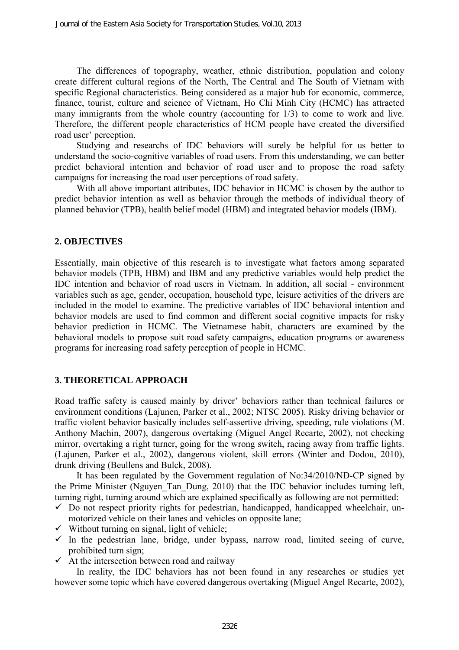The differences of topography, weather, ethnic distribution, population and colony create different cultural regions of the North, The Central and The South of Vietnam with specific Regional characteristics. Being considered as a major hub for economic, commerce, finance, tourist, culture and science of Vietnam, Ho Chi Minh City (HCMC) has attracted many immigrants from the whole country (accounting for 1/3) to come to work and live. Therefore, the different people characteristics of HCM people have created the diversified road user' perception.

Studying and researchs of IDC behaviors will surely be helpful for us better to understand the socio-cognitive variables of road users. From this understanding, we can better predict behavioral intention and behavior of road user and to propose the road safety campaigns for increasing the road user perceptions of road safety.

With all above important attributes, IDC behavior in HCMC is chosen by the author to predict behavior intention as well as behavior through the methods of individual theory of planned behavior (TPB), health belief model (HBM) and integrated behavior models (IBM).

### **2. OBJECTIVES**

Essentially, main objective of this research is to investigate what factors among separated behavior models (TPB, HBM) and IBM and any predictive variables would help predict the IDC intention and behavior of road users in Vietnam. In addition, all social - environment variables such as age, gender, occupation, household type, leisure activities of the drivers are included in the model to examine. The predictive variables of IDC behavioral intention and behavior models are used to find common and different social cognitive impacts for risky behavior prediction in HCMC. The Vietnamese habit, characters are examined by the behavioral models to propose suit road safety campaigns, education programs or awareness programs for increasing road safety perception of people in HCMC.

# **3. THEORETICAL APPROACH**

Road traffic safety is caused mainly by driver' behaviors rather than technical failures or environment conditions [\(Lajunen, Parker et al., 2002;](#page-17-1) [NTSC 2005\)](#page-18-1). Risky driving behavior or traffic violent behavior basically includes self-assertive driving, speeding, rule violations [\(M.](#page-17-2)  [Anthony Machin, 2007\)](#page-17-2), dangerous overtaking [\(Miguel Angel Recarte, 2002\)](#page-17-3), not checking mirror, overtaking a right turner, going for the wrong switch, racing away from traffic lights. [\(Lajunen, Parker et al., 2002\)](#page-17-1), dangerous violent, skill errors [\(Winter and Dodou, 2010\)](#page-18-2), drunk driving [\(Beullens and Bulck, 2008\)](#page-16-1).

It has been regulated by the Government regulation of No:34/2010/NĐ-CP signed by the Prime Minister [\(Nguyen\\_Tan\\_Dung, 2010\)](#page-18-3) that the IDC behavior includes turning left, turning right, turning around which are explained specifically as following are not permitted:

- $\checkmark$  Do not respect priority rights for pedestrian, handicapped, handicapped wheelchair, unmotorized vehicle on their lanes and vehicles on opposite lane;
- $\checkmark$  Without turning on signal, light of vehicle;
- $\checkmark$  In the pedestrian lane, bridge, under bypass, narrow road, limited seeing of curve, prohibited turn sign;
- $\checkmark$  At the intersection between road and railway

In reality, the IDC behaviors has not been found in any researches or studies yet however some topic which have covered dangerous overtaking [\(Miguel Angel Recarte, 2002\)](#page-17-3),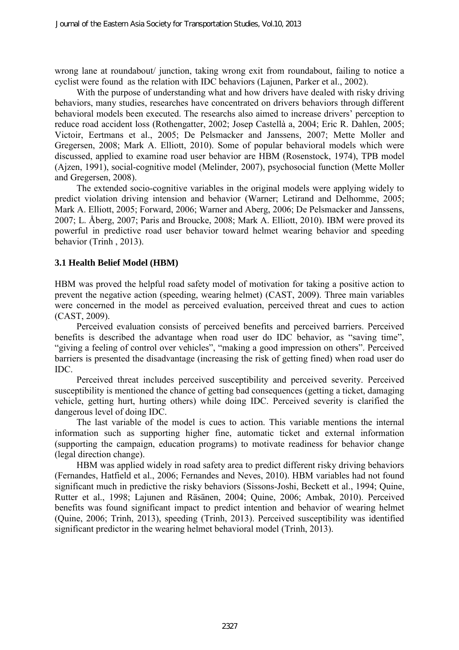wrong lane at roundabout/ junction, taking wrong exit from roundabout, failing to notice a cyclist were found as the relation with IDC behaviors [\(Lajunen, Parker et al., 2002\)](#page-17-1).

With the purpose of understanding what and how drivers have dealed with risky driving behaviors, many studies, researches have concentrated on drivers behaviors through different behavioral models been executed. The researchs also aimed to increase drivers' perception to reduce road accident loss [\(Rothengatter, 2002;](#page-18-4) [Josep Castellà a, 2004;](#page-17-4) [Eric R. Dahlen, 2005;](#page-17-5) [Victoir, Eertmans et al., 2005;](#page-18-5) [De Pelsmacker and Janssens, 2007;](#page-16-2) [Mette Moller and](#page-17-6)  [Gregersen, 2008;](#page-17-6) [Mark A. Elliott, 2010\)](#page-17-7). Some of popular behavioral models which were discussed, applied to examine road user behavior are HBM [\(Rosenstock, 1974\)](#page-18-6), TPB model [\(Ajzen, 1991\)](#page-16-3), social-cognitive model [\(Melinder, 2007\)](#page-17-8), psychosocial function [\(Mette Moller](#page-17-6)  [and Gregersen, 2008\)](#page-17-6).

The extended socio-cognitive variables in the original models were applying widely to predict violation driving intension and behavior [\(Warner;](#page-18-7) [Letirand and Delhomme, 2005;](#page-17-9) [Mark A. Elliott, 2005;](#page-17-10) [Forward, 2006;](#page-17-11) [Warner and Aberg, 2006;](#page-18-8) [De Pelsmacker and Janssens,](#page-16-2)  [2007;](#page-16-2) [L. Åberg, 2007;](#page-17-12) [Paris and Broucke, 2008;](#page-18-9) [Mark A. Elliott, 2010\)](#page-17-7). IBM were proved its powerful in predictive road user behavior toward helmet wearing behavior and speeding behavior (Trinh [, 2013\)](#page-16-4).

### **3.1 Health Belief Model (HBM)**

HBM was proved the helpful road safety model of motivation for taking a positive action to prevent the negative action (speeding, wearing helmet) [\(CAST, 2009\)](#page-16-5). Three main variables were concerned in the model as perceived evaluation, perceived threat and cues to action [\(CAST, 2009\)](#page-16-5).

Perceived evaluation consists of perceived benefits and perceived barriers. Perceived benefits is described the advantage when road user do IDC behavior, as "saving time", "giving a feeling of control over vehicles", "making a good impression on others". Perceived barriers is presented the disadvantage (increasing the risk of getting fined) when road user do IDC.

Perceived threat includes perceived susceptibility and perceived severity. Perceived susceptibility is mentioned the chance of getting bad consequences (getting a ticket, damaging vehicle, getting hurt, hurting others) while doing IDC. Perceived severity is clarified the dangerous level of doing IDC.

The last variable of the model is cues to action. This variable mentions the internal information such as supporting higher fine, automatic ticket and external information (supporting the campaign, education programs) to motivate readiness for behavior change (legal direction change).

HBM was applied widely in road safety area to predict different risky driving behaviors [\(Fernandes, Hatfield et al., 2006;](#page-17-13) [Fernandes and Neves, 2010\)](#page-17-14). HBM variables had not found significant much in predictive the risky behaviors [\(Sissons-Joshi, Beckett et al., 1994;](#page-18-10) [Quine,](#page-18-11)  [Rutter et al., 1998;](#page-18-11) [Lajunen and Räsänen, 2004;](#page-17-15) [Quine, 2006;](#page-18-12) [Ambak, 2010\)](#page-16-6). Perceived benefits was found significant impact to predict intention and behavior of wearing helmet (Quine, 2006; [Trinh, 2013\)](#page-16-4), speeding [\(Trinh, 2013\)](#page-16-4). Perceived susceptibility was identified significant predictor in the wearing helmet behavioral model [\(Trinh, 2013\)](#page-16-4).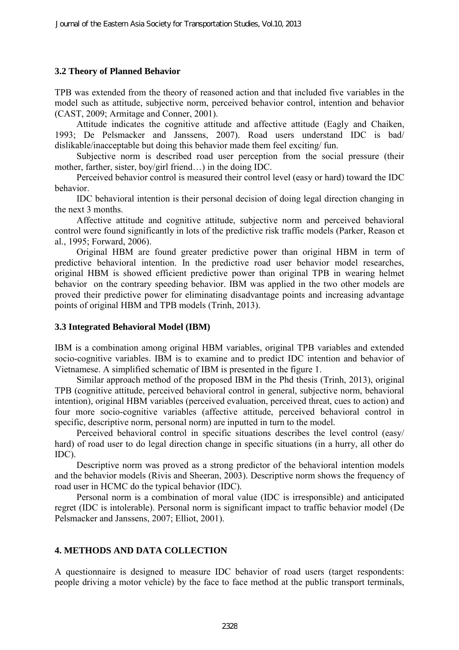### **3.2 Theory of Planned Behavior**

TPB was extended from the theory of reasoned action and that included five variables in the model such as attitude, subjective norm, perceived behavior control, intention and behavior [\(CAST, 2009;](#page-16-5) [Armitage and Conner, 2001\)](#page-16-7).

Attitude indicates the cognitive attitude and affective attitude [\(Eagly and Chaiken,](#page-16-8)  [1993;](#page-16-8) [De Pelsmacker and Janssens, 2007\)](#page-16-2). Road users understand IDC is bad/ dislikable/inacceptable but doing this behavior made them feel exciting/ fun.

Subjective norm is described road user perception from the social pressure (their mother, farther, sister, boy/girl friend…) in the doing IDC.

Perceived behavior control is measured their control level (easy or hard) toward the IDC behavior.

IDC behavioral intention is their personal decision of doing legal direction changing in the next 3 months.

Affective attitude and cognitive attitude, subjective norm and perceived behavioral control were found significantly in lots of the predictive risk traffic models [\(Parker, Reason et](#page-18-13)  [al., 1995;](#page-18-13) [Forward, 2006\)](#page-17-11).

Original HBM are found greater predictive power than original HBM in term of predictive behavioral intention. In the predictive road user behavior model researches, original HBM is showed efficient predictive power than original TPB in wearing helmet behavior on the contrary speeding behavior. IBM was applied in the two other models are proved their predictive power for eliminating disadvantage points and increasing advantage points of original HBM and TPB models [\(Trinh, 2013\)](#page-16-4).

#### **3.3 Integrated Behavioral Model (IBM)**

IBM is a combination among original HBM variables, original TPB variables and extended socio-cognitive variables. IBM is to examine and to predict IDC intention and behavior of Vietnamese. A simplified schematic of IBM is presented in the figure 1.

Similar approach method of the proposed IBM in the Phd thesis [\(Trinh, 2013\)](#page-16-4), original TPB (cognitive attitude, perceived behavioral control in general, subjective norm, behavioral intention), original HBM variables (perceived evaluation, perceived threat, cues to action) and four more socio-cognitive variables (affective attitude, perceived behavioral control in specific, descriptive norm, personal norm) are inputted in turn to the model.

Perceived behavioral control in specific situations describes the level control (easy/ hard) of road user to do legal direction change in specific situations (in a hurry, all other do IDC).

Descriptive norm was proved as a strong predictor of the behavioral intention models and the behavior models [\(Rivis and Sheeran, 2003\)](#page-18-14). Descriptive norm shows the frequency of road user in HCMC do the typical behavior (IDC).

Personal norm is a combination of moral value (IDC is irresponsible) and anticipated regret (IDC is intolerable). Personal norm is significant impact to traffic behavior model [\(De](#page-17-13)  [Pelsmacker and Janssens, 2007;](#page-17-13) [Elliot, 2001\)](#page-17-0).

## **4. METHODS AND DATA COLLECTION**

A questionnaire is designed to measure IDC behavior of road users (target respondents: people driving a motor vehicle) by the face to face method at the public transport terminals,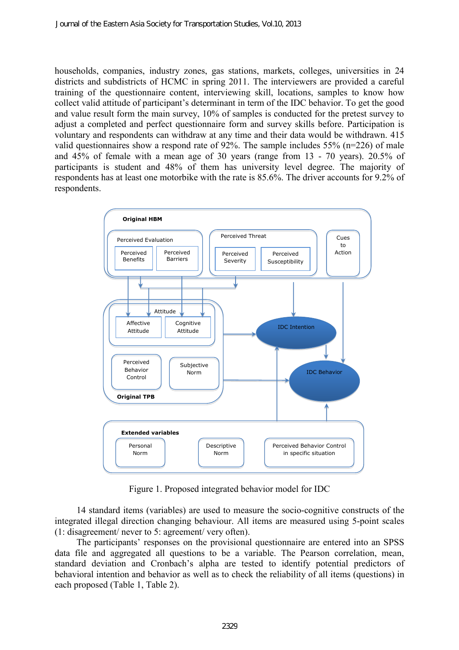households, companies, industry zones, gas stations, markets, colleges, universities in 24 districts and subdistricts of HCMC in spring 2011. The interviewers are provided a careful training of the questionnaire content, interviewing skill, locations, samples to know how collect valid attitude of participant's determinant in term of the IDC behavior. To get the good and value result form the main survey, 10% of samples is conducted for the pretest survey to adjust a completed and perfect questionnaire form and survey skills before. Participation is voluntary and respondents can withdraw at any time and their data would be withdrawn. 415 valid questionnaires show a respond rate of 92%. The sample includes 55% (n=226) of male and 45% of female with a mean age of 30 years (range from 13 - 70 years). 20.5% of participants is student and 48% of them has university level degree. The majority of respondents has at least one motorbike with the rate is 85.6%. The driver accounts for 9.2% of respondents.



Figure 1. Proposed integrated behavior model for IDC

14 standard items (variables) are used to measure the socio-cognitive constructs of the integrated illegal direction changing behaviour. All items are measured using 5-point scales (1: disagreement/ never to 5: agreement/ very often).

The participants' responses on the provisional questionnaire are entered into an SPSS data file and aggregated all questions to be a variable. The Pearson correlation, mean, standard deviation and Cronbach's alpha are tested to identify potential predictors of behavioral intention and behavior as well as to check the reliability of all items (questions) in each proposed (Table 1, Table 2).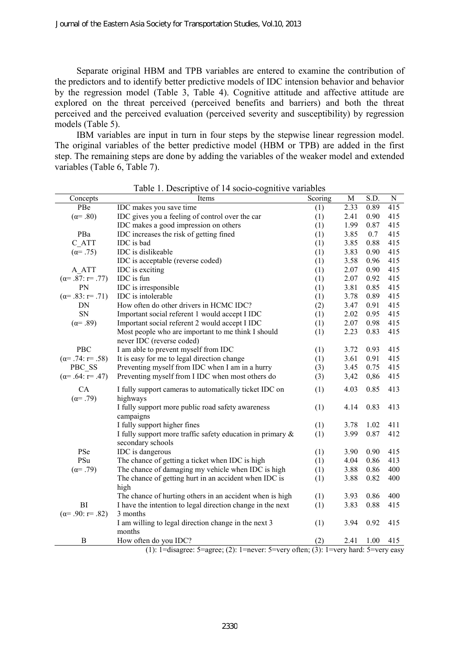Separate original HBM and TPB variables are entered to examine the contribution of the predictors and to identify better predictive models of IDC intension behavior and behavior by the regression model (Table 3, Table 4). Cognitive attitude and affective attitude are explored on the threat perceived (perceived benefits and barriers) and both the threat perceived and the perceived evaluation (perceived severity and susceptibility) by regression models (Table 5).

IBM variables are input in turn in four steps by the stepwise linear regression model. The original variables of the better predictive model (HBM or TPB) are added in the first step. The remaining steps are done by adding the variables of the weaker model and extended variables (Table 6, Table 7).

| Concepts                  | Items                                                              | Scoring | M    | S.D. | N   |
|---------------------------|--------------------------------------------------------------------|---------|------|------|-----|
| PBe                       | IDC makes you save time                                            | (1)     | 2.33 | 0.89 | 415 |
| $(\alpha = .80)$          | IDC gives you a feeling of control over the car                    | (1)     | 2.41 | 0.90 | 415 |
|                           | IDC makes a good impression on others                              | (1)     | 1.99 | 0.87 | 415 |
| PBa                       | IDC increases the risk of getting fined                            | (1)     | 3.85 | 0.7  | 415 |
| C ATT                     | IDC is bad                                                         | (1)     | 3.85 | 0.88 | 415 |
| $(\alpha = .75)$          | IDC is dislikeable                                                 | (1)     | 3.83 | 0.90 | 415 |
|                           | IDC is acceptable (reverse coded)                                  | (1)     | 3.58 | 0.96 | 415 |
| A ATT                     | IDC is exciting                                                    | (1)     | 2.07 | 0.90 | 415 |
| $(\alpha = .87: r = .77)$ | IDC is fun                                                         | (1)     | 2.07 | 0.92 | 415 |
| PN                        | IDC is irresponsible                                               | (1)     | 3.81 | 0.85 | 415 |
| $(\alpha = .83; r = .71)$ | IDC is intolerable                                                 | (1)     | 3.78 | 0.89 | 415 |
| DN                        | How often do other drivers in HCMC IDC?                            | (2)     | 3.47 | 0.91 | 415 |
| SN                        | Important social referent 1 would accept I IDC                     | (1)     | 2.02 | 0.95 | 415 |
| $(\alpha = .89)$          | Important social referent 2 would accept I IDC                     | (1)     | 2.07 | 0.98 | 415 |
|                           | Most people who are important to me think I should                 | (1)     | 2.23 | 0.83 | 415 |
|                           | never IDC (reverse coded)                                          |         |      |      |     |
| PBC                       | I am able to prevent myself from IDC                               | (1)     | 3.72 | 0.93 | 415 |
| $(\alpha = .74; r = .58)$ | It is easy for me to legal direction change                        | (1)     | 3.61 | 0.91 | 415 |
| PBC SS                    | Preventing myself from IDC when I am in a hurry                    | (3)     | 3.45 | 0.75 | 415 |
| $(\alpha = .64; r = .47)$ | Preventing myself from I IDC when most others do                   | (3)     | 3,42 | 0,86 | 415 |
| CA<br>$(\alpha = .79)$    | I fully support cameras to automatically ticket IDC on<br>highways | (1)     | 4.03 | 0.85 | 413 |
|                           | I fully support more public road safety awareness                  | (1)     | 4.14 | 0.83 | 413 |
|                           | campaigns                                                          |         |      |      |     |
|                           | I fully support higher fines                                       | (1)     | 3.78 | 1.02 | 411 |
|                           | I fully support more traffic safety education in primary $\&$      | (1)     | 3.99 | 0.87 | 412 |
|                           | secondary schools                                                  |         |      |      |     |
| PSe                       | IDC is dangerous                                                   | (1)     | 3.90 | 0.90 | 415 |
| PSu                       | The chance of getting a ticket when IDC is high                    | (1)     | 4.04 | 0.86 | 413 |
| $(\alpha = .79)$          | The chance of damaging my vehicle when IDC is high                 | (1)     | 3.88 | 0.86 | 400 |
|                           | The chance of getting hurt in an accident when IDC is              | (1)     | 3.88 | 0.82 | 400 |
|                           | high                                                               |         |      |      |     |
|                           | The chance of hurting others in an accident when is high           | (1)     | 3.93 | 0.86 | 400 |
| BI                        | I have the intention to legal direction change in the next         | (1)     | 3.83 | 0.88 | 415 |
| $(\alpha = .90; r = .82)$ | 3 months                                                           |         |      |      |     |
|                           | I am willing to legal direction change in the next 3               | (1)     | 3.94 | 0.92 | 415 |
|                           | months                                                             |         |      |      |     |
| В                         | How often do you IDC?<br>ow often do you IDC? (2) 2.41 1.00 415    |         |      |      |     |

Table 1. Descriptive of 14 socio-cognitive variables

(1): 1=disagree: 5=agree; (2): 1=never: 5=very often; (3): 1=very hard: 5=very easy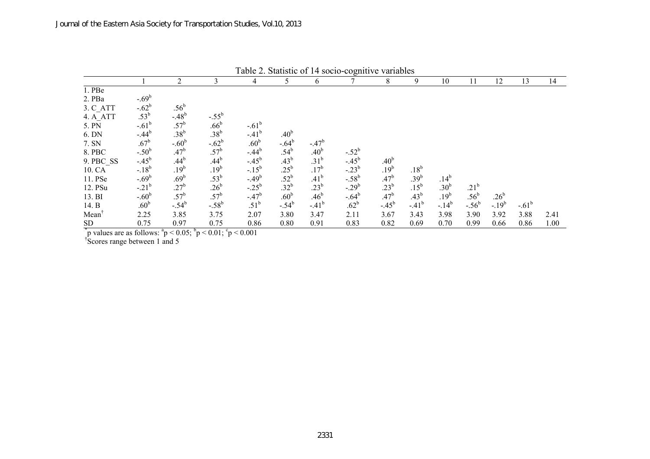| Table 2. Blatistic Of IT Socio-cognitive variables |                                           |                                |                                                                 |                                                                                                                                                                    |                  |                  |                                                                            |                  |                  |                  |                  |                  |                 |      |
|----------------------------------------------------|-------------------------------------------|--------------------------------|-----------------------------------------------------------------|--------------------------------------------------------------------------------------------------------------------------------------------------------------------|------------------|------------------|----------------------------------------------------------------------------|------------------|------------------|------------------|------------------|------------------|-----------------|------|
|                                                    |                                           | 2                              | 3                                                               | 4                                                                                                                                                                  | 5                | 6                |                                                                            | 8                | 9                | 10               | 11               | 12               | 13              | 14   |
| 1. PBe                                             |                                           |                                |                                                                 |                                                                                                                                                                    |                  |                  |                                                                            |                  |                  |                  |                  |                  |                 |      |
| 2. PBa                                             | $-.69^b$                                  |                                |                                                                 |                                                                                                                                                                    |                  |                  |                                                                            |                  |                  |                  |                  |                  |                 |      |
|                                                    | $-0.62^b$<br>$0.53^b$                     | .56 <sup>b</sup>               |                                                                 |                                                                                                                                                                    |                  |                  |                                                                            |                  |                  |                  |                  |                  |                 |      |
| 3. C_ATT<br>4. A_ATT                               |                                           | $-48^{b}$<br>$.57^{b}$         | $-0.55^{b}$<br>.66 <sup>b</sup>                                 |                                                                                                                                                                    |                  |                  |                                                                            |                  |                  |                  |                  |                  |                 |      |
| 5. PN                                              | $-.61^b$                                  |                                |                                                                 |                                                                                                                                                                    |                  |                  |                                                                            |                  |                  |                  |                  |                  |                 |      |
| 6. DN                                              | $-0.44^{b}$                               | .38 $^{\rm b}$                 |                                                                 | $-0.61^b$<br>$-0.41^b$                                                                                                                                             | .40 <sup>b</sup> |                  |                                                                            |                  |                  |                  |                  |                  |                 |      |
| 7. SN                                              | $.67^{\rm b}$                             | $-.60b$                        |                                                                 |                                                                                                                                                                    | $-0.64^{b}$      | $-.47b$          |                                                                            |                  |                  |                  |                  |                  |                 |      |
| 8. PBC                                             |                                           | .47 <sup>b</sup>               | $.38^{b}$<br>$-.62^{b}$<br>$.57^{b}$                            |                                                                                                                                                                    | $.54^{b}$        | .40 <sup>b</sup> |                                                                            |                  |                  |                  |                  |                  |                 |      |
| 9. PBC_SS                                          | $-0.50^{b}$<br>$-0.45^{b}$<br>$-0.18^{b}$ | $.44^{b}$                      | $.44^b$<br>$.19^b$<br>$.53^b$<br>$.26^b$<br>$.57^b$<br>$-.58^b$ | .60 <sup>b</sup><br>-.44 <sup>b</sup><br>-.45 <sup>b</sup><br>-.15 <sup>b</sup><br>-.49 <sup>b</sup><br>-.25 <sup>b</sup><br>-.47 <sup>b</sup><br>.51 <sup>b</sup> | .43 <sup>b</sup> | .31 <sup>b</sup> | $-0.52^b$<br>$-0.45^b$<br>$-0.23^b$<br>$-0.58^b$<br>$-0.64^b$<br>$-0.62^b$ | .40 <sup>b</sup> |                  |                  |                  |                  |                 |      |
| 10. CA                                             |                                           | $.19^{b}$                      |                                                                 |                                                                                                                                                                    | $.25^{\rm b}$    | $.17^{b}$        |                                                                            | $.19^{b}$        | $.18^{b}$        |                  |                  |                  |                 |      |
| 11. PSe                                            | $-.69^b$                                  | .69 <sup>b</sup>               |                                                                 |                                                                                                                                                                    | $.52^b$          | .41 <sup>b</sup> |                                                                            | .47 <sup>b</sup> | .39 <sup>b</sup> | $.14^{b}$        |                  |                  |                 |      |
| 12. PSu                                            | $-0.21^{b}$<br>-.60 <sup>b</sup>          |                                |                                                                 |                                                                                                                                                                    | $.32^b$          | $.23^b$          |                                                                            | .23 <sup>b</sup> | $.15^{\rm b}$    | .30 <sup>b</sup> | .21 <sup>b</sup> |                  |                 |      |
| 13. BI                                             |                                           |                                |                                                                 |                                                                                                                                                                    | .60 <sup>b</sup> | .46 <sup>b</sup> |                                                                            | .47 <sup>b</sup> | .43 <sup>b</sup> | $.19^{b}$        | .56 <sup>b</sup> | .26 <sup>b</sup> |                 |      |
| 14. B                                              | .60 <sup>b</sup>                          | $.27^b$<br>$.57^b$<br>$-.54^b$ |                                                                 |                                                                                                                                                                    | $-.54^{b}$       | $-41^{b}$        |                                                                            | $-45^{b}$        | $-41^{b}$        | $-14^{b}$        | $-.56^b$         | $-19^{b}$        | $-0.61^{\rm b}$ |      |
| Mean                                               | 2.25                                      | 3.85                           | 3.75                                                            | 2.07                                                                                                                                                               | 3.80             | 3.47             | 2.11                                                                       | 3.67             | 3.43             | 3.98             | 3.90             | 3.92             | 3.88            | 2.41 |
| SD                                                 | 0.75                                      | 0.97                           | 0.75                                                            | 0.86                                                                                                                                                               | 0.80             | 0.91             | 0.83                                                                       | 0.82             | 0.69             | 0.70             | 0.99             | 0.66             | 0.86            | 1.00 |

Table 2. Statistic of 14 socio-cognitive variables

 $\gamma$ <sup>\*</sup>p values are as follows:  $\gamma$ <sup>\*</sup>p < 0.05;  $\gamma$ <sup>5</sup>p < 0.01;  $\gamma$ <sup>6</sup>p < 0.001

† Scores range between 1 and 5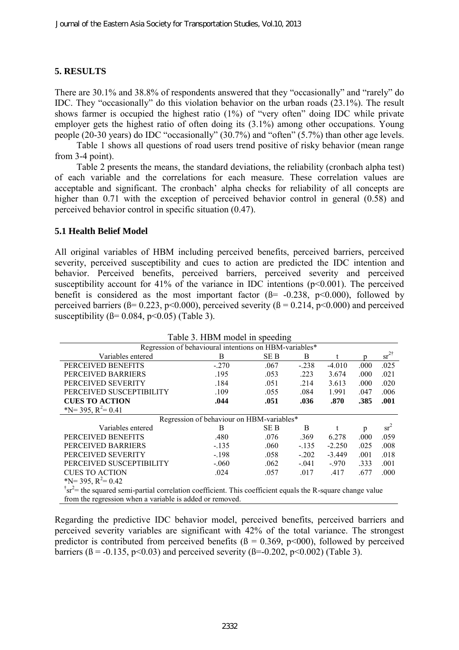### **5. RESULTS**

There are 30.1% and 38.8% of respondents answered that they "occasionally" and "rarely" do IDC. They "occasionally" do this violation behavior on the urban roads (23.1%). The result shows farmer is occupied the highest ratio (1%) of "very often" doing IDC while private employer gets the highest ratio of often doing its (3.1%) among other occupations. Young people (20-30 years) do IDC "occasionally" (30.7%) and "often" (5.7%) than other age levels.

Table 1 shows all questions of road users trend positive of risky behavior (mean range from 3-4 point).

Table 2 presents the means, the standard deviations, the reliability (cronbach alpha test) of each variable and the correlations for each measure. These correlation values are acceptable and significant. The cronbach' alpha checks for reliability of all concepts are higher than 0.71 with the exception of perceived behavior control in general (0.58) and perceived behavior control in specific situation (0.47).

#### **5.1 Health Belief Model**

All original variables of HBM including perceived benefits, perceived barriers, perceived severity, perceived susceptibility and cues to action are predicted the IDC intention and behavior. Perceived benefits, perceived barriers, perceived severity and perceived susceptibility account for  $41\%$  of the variance in IDC intentions ( $p<0.001$ ). The perceived benefit is considered as the most important factor  $(\beta = -0.238, p < 0.000)$ , followed by perceived barriers ( $\beta$ = 0.223, p<0.000), perceived severity ( $\beta$  = 0.214, p<0.000) and perceived susceptibility ( $\beta$ = 0.084, p<0.05) (Table 3).

| Table 3. HBM model in speeding                                                                                                             |         |      |         |          |      |                     |  |  |  |
|--------------------------------------------------------------------------------------------------------------------------------------------|---------|------|---------|----------|------|---------------------|--|--|--|
| Regression of behavioural intentions on HBM-variables*                                                                                     |         |      |         |          |      |                     |  |  |  |
| Variables entered                                                                                                                          | B       | SE B | B       |          | n    | $sr^2$ <sup>†</sup> |  |  |  |
| PERCEIVED BENEFITS                                                                                                                         | $-.270$ | .067 | $-.238$ | $-4.010$ | .000 | .025                |  |  |  |
| PERCEIVED BARRIERS                                                                                                                         | .195    | .053 | .223    | 3.674    | .000 | .021                |  |  |  |
| PERCEIVED SEVERITY                                                                                                                         | .184    | .051 | .214    | 3.613    | .000 | .020                |  |  |  |
| PERCEIVED SUSCEPTIBILITY                                                                                                                   | .109    | .055 | .084    | 1.991    | .047 | .006                |  |  |  |
| <b>CUES TO ACTION</b>                                                                                                                      | .044    | .051 | .036    | .870     | .385 | .001                |  |  |  |
| *N= 395, $R^2$ = 0.41                                                                                                                      |         |      |         |          |      |                     |  |  |  |
| Regression of behaviour on HBM-variables*                                                                                                  |         |      |         |          |      |                     |  |  |  |
| Variables entered                                                                                                                          | B       | SE B | B       |          | p    | sr <sup>2</sup>     |  |  |  |
| PERCEIVED BENEFITS                                                                                                                         | .480    | .076 | .369    | 6.278    | .000 | .059                |  |  |  |
| PERCEIVED BARRIERS                                                                                                                         | $-135$  | .060 | $-.135$ | $-2.250$ | .025 | .008                |  |  |  |
| PERCEIVED SEVERITY                                                                                                                         | $-.198$ | .058 | $-.202$ | $-3.449$ | .001 | .018                |  |  |  |
| PERCEIVED SUSCEPTIBILITY                                                                                                                   | $-.060$ | .062 | $-.041$ | $-970$   | .333 | .001                |  |  |  |
| <b>CUES TO ACTION</b>                                                                                                                      | .024    | .057 | .017    | .417     | .677 | .000                |  |  |  |
| *N= 395, $R^2$ = 0.42                                                                                                                      |         |      |         |          |      |                     |  |  |  |
| $\text{I}^{\dagger}$ sr <sup>2</sup> = the squared semi-partial correlation coefficient. This coefficient equals the R-square change value |         |      |         |          |      |                     |  |  |  |
| from the regression when a variable is added or removed.                                                                                   |         |      |         |          |      |                     |  |  |  |

Regarding the predictive IDC behavior model, perceived benefits, perceived barriers and perceived severity variables are significant with 42% of the total variance. The strongest predictor is contributed from perceived benefits ( $\beta = 0.369$ , p<000), followed by perceived barriers ( $\beta$  = -0.135, p<0.03) and perceived severity ( $\beta$ =-0.202, p<0.002) (Table 3).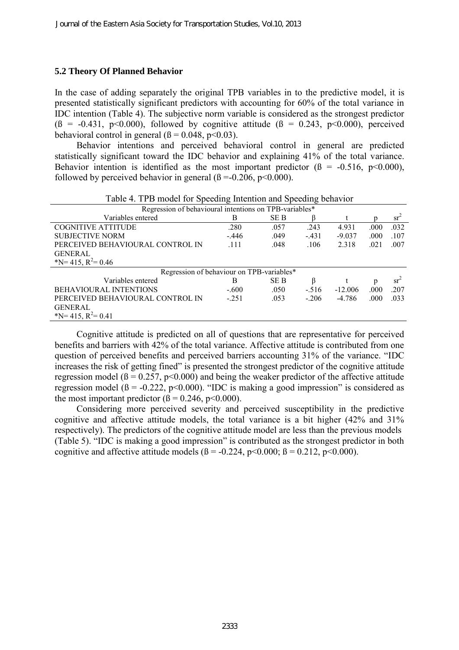#### **5.2 Theory Of Planned Behavior**

In the case of adding separately the original TPB variables in to the predictive model, it is presented statistically significant predictors with accounting for 60% of the total variance in IDC intention (Table 4). The subjective norm variable is considered as the strongest predictor  $(\beta = -0.431, p<0.000)$ , followed by cognitive attitude  $(\beta = 0.243, p<0.000)$ , perceived behavioral control in general  $(\beta = 0.048, p<0.03)$ .

Behavior intentions and perceived behavioral control in general are predicted statistically significant toward the IDC behavior and explaining 41% of the total variance. Behavior intention is identified as the most important predictor  $(\beta = -0.516, p<0.000)$ , followed by perceived behavior in general  $(\beta = 0.206, p < 0.000)$ .

| Regression of behavioural intentions on TPB-variables* |         |      |         |           |      |        |  |  |
|--------------------------------------------------------|---------|------|---------|-----------|------|--------|--|--|
| Variables entered                                      | B       | SE B |         |           |      | $sr^2$ |  |  |
| <b>COGNITIVE ATTITUDE</b>                              | .280    | .057 | .243    | 4.931     | .000 | .032   |  |  |
| <b>SUBJECTIVE NORM</b>                                 | $-.446$ | .049 | $-.431$ | $-9.037$  | .000 | .107   |  |  |
| PERCEIVED BEHAVIOURAL CONTROL IN                       | .111    | .048 | .106    | 2.318     | .021 | .007   |  |  |
| <b>GENERAL</b>                                         |         |      |         |           |      |        |  |  |
| *N= 415, $R^2$ = 0.46                                  |         |      |         |           |      |        |  |  |
| Regression of behaviour on TPB-variables*              |         |      |         |           |      |        |  |  |
| Variables entered                                      | В       | SE B | ß       |           | p    | $sr^2$ |  |  |
| <b>BEHAVIOURAL INTENTIONS</b>                          | $-.600$ | .050 | $-.516$ | $-12.006$ | .000 | .207   |  |  |
| PERCEIVED BEHAVIOURAL CONTROL IN                       | $-251$  | .053 | $-.206$ | $-4.786$  | .000 | .033   |  |  |
| <b>GENERAL</b>                                         |         |      |         |           |      |        |  |  |
| $N = 415$ , $R^2 = 0.41$                               |         |      |         |           |      |        |  |  |

Table 4. TPB model for Speeding Intention and Speeding behavior

Cognitive attitude is predicted on all of questions that are representative for perceived benefits and barriers with 42% of the total variance. Affective attitude is contributed from one question of perceived benefits and perceived barriers accounting 31% of the variance. "IDC increases the risk of getting fined" is presented the strongest predictor of the cognitive attitude regression model ( $\beta$  = 0.257, p<0.000) and being the weaker predictor of the affective attitude regression model ( $\beta$  = -0.222, p<0.000). "IDC is making a good impression" is considered as the most important predictor  $(\beta = 0.246, p < 0.000)$ .

Considering more perceived severity and perceived susceptibility in the predictive cognitive and affective attitude models, the total variance is a bit higher (42% and 31% respectively). The predictors of the cognitive attitude model are less than the previous models (Table 5). "IDC is making a good impression" is contributed as the strongest predictor in both cognitive and affective attitude models ( $\beta$  = -0.224, p<0.000;  $\beta$  = 0.212, p<0.000).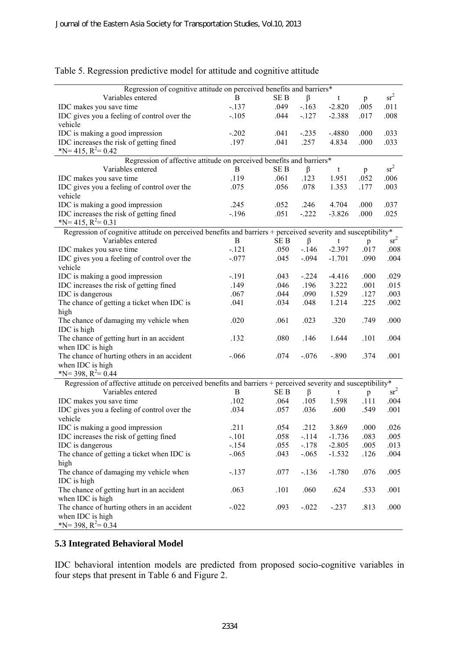| $sr^2$<br>SE <sub>B</sub><br>Variables entered<br>B.<br>β<br>t<br>p<br>$-137$<br>.049<br>$-163$<br>$-2.820$<br>.005<br>.011<br>IDC makes you save time<br>IDC gives you a feeling of control over the<br>.044<br>$-2.388$<br>.017<br>.008<br>$-.105$<br>$-127$<br>vehicle<br>IDC is making a good impression<br>.033<br>$-.202$<br>.041<br>$-.235$<br>$-.4880$<br>.000<br>IDC increases the risk of getting fined<br>.197<br>.041<br>.257<br>4.834<br>.033<br>.000<br>*N= 415, $R^2$ = 0.42<br>Regression of affective attitude on perceived benefits and barriers*<br>$sr^2$<br>SE <sub>B</sub><br>$\beta$<br>Variables entered<br>B<br>t<br>p<br>.123<br>.052<br>IDC makes you save time<br>.119<br>.061<br>1.951<br>.006 | Regression of cognitive attitude on perceived benefits and barriers* |      |      |      |       |      |      |
|-----------------------------------------------------------------------------------------------------------------------------------------------------------------------------------------------------------------------------------------------------------------------------------------------------------------------------------------------------------------------------------------------------------------------------------------------------------------------------------------------------------------------------------------------------------------------------------------------------------------------------------------------------------------------------------------------------------------------------|----------------------------------------------------------------------|------|------|------|-------|------|------|
|                                                                                                                                                                                                                                                                                                                                                                                                                                                                                                                                                                                                                                                                                                                             |                                                                      |      |      |      |       |      |      |
|                                                                                                                                                                                                                                                                                                                                                                                                                                                                                                                                                                                                                                                                                                                             |                                                                      |      |      |      |       |      |      |
|                                                                                                                                                                                                                                                                                                                                                                                                                                                                                                                                                                                                                                                                                                                             |                                                                      |      |      |      |       |      |      |
|                                                                                                                                                                                                                                                                                                                                                                                                                                                                                                                                                                                                                                                                                                                             |                                                                      |      |      |      |       |      |      |
|                                                                                                                                                                                                                                                                                                                                                                                                                                                                                                                                                                                                                                                                                                                             |                                                                      |      |      |      |       |      |      |
|                                                                                                                                                                                                                                                                                                                                                                                                                                                                                                                                                                                                                                                                                                                             |                                                                      |      |      |      |       |      |      |
|                                                                                                                                                                                                                                                                                                                                                                                                                                                                                                                                                                                                                                                                                                                             |                                                                      |      |      |      |       |      |      |
|                                                                                                                                                                                                                                                                                                                                                                                                                                                                                                                                                                                                                                                                                                                             |                                                                      |      |      |      |       |      |      |
|                                                                                                                                                                                                                                                                                                                                                                                                                                                                                                                                                                                                                                                                                                                             |                                                                      |      |      |      |       |      |      |
|                                                                                                                                                                                                                                                                                                                                                                                                                                                                                                                                                                                                                                                                                                                             |                                                                      |      |      |      |       |      |      |
|                                                                                                                                                                                                                                                                                                                                                                                                                                                                                                                                                                                                                                                                                                                             | IDC gives you a feeling of control over the                          | .075 | .056 | .078 | 1.353 | .177 | .003 |
| vehicle                                                                                                                                                                                                                                                                                                                                                                                                                                                                                                                                                                                                                                                                                                                     |                                                                      |      |      |      |       |      |      |
| IDC is making a good impression<br>.246<br>.037<br>.245<br>.052<br>4.704<br>.000                                                                                                                                                                                                                                                                                                                                                                                                                                                                                                                                                                                                                                            |                                                                      |      |      |      |       |      |      |
| IDC increases the risk of getting fined<br>$-196$<br>.051<br>$-.222$<br>$-3.826$<br>.000<br>.025                                                                                                                                                                                                                                                                                                                                                                                                                                                                                                                                                                                                                            |                                                                      |      |      |      |       |      |      |
| *N= 415, $R^2$ = 0.31                                                                                                                                                                                                                                                                                                                                                                                                                                                                                                                                                                                                                                                                                                       |                                                                      |      |      |      |       |      |      |
| Regression of cognitive attitude on perceived benefits and barriers + perceived severity and susceptibility*                                                                                                                                                                                                                                                                                                                                                                                                                                                                                                                                                                                                                |                                                                      |      |      |      |       |      |      |
| $sr^2$<br>Variables entered<br>B<br>SE B<br>β<br>t<br>$\mathbf{p}$                                                                                                                                                                                                                                                                                                                                                                                                                                                                                                                                                                                                                                                          |                                                                      |      |      |      |       |      |      |
| $-.121$<br>.050<br>$-146$<br>$-2.397$<br>.017<br>IDC makes you save time                                                                                                                                                                                                                                                                                                                                                                                                                                                                                                                                                                                                                                                    |                                                                      |      |      |      |       |      | .008 |
| IDC gives you a feeling of control over the<br>$-.077$<br>.045<br>$-.094$<br>$-1.701$<br>.090                                                                                                                                                                                                                                                                                                                                                                                                                                                                                                                                                                                                                               |                                                                      |      |      |      |       |      | .004 |
| vehicle                                                                                                                                                                                                                                                                                                                                                                                                                                                                                                                                                                                                                                                                                                                     |                                                                      |      |      |      |       |      |      |
| IDC is making a good impression<br>$-.191$<br>.043<br>$-.224$<br>$-4.416$<br>.000                                                                                                                                                                                                                                                                                                                                                                                                                                                                                                                                                                                                                                           |                                                                      |      |      |      |       |      | .029 |
| IDC increases the risk of getting fined<br>.149<br>.046<br>.196<br>3.222<br>.001                                                                                                                                                                                                                                                                                                                                                                                                                                                                                                                                                                                                                                            |                                                                      |      |      |      |       |      | .015 |
| .127<br>IDC is dangerous<br>.044<br>.090<br>1.529<br>.067                                                                                                                                                                                                                                                                                                                                                                                                                                                                                                                                                                                                                                                                   |                                                                      |      |      |      |       |      | .003 |
| The chance of getting a ticket when IDC is<br>.225<br>.041<br>.034<br>.048<br>1.214                                                                                                                                                                                                                                                                                                                                                                                                                                                                                                                                                                                                                                         |                                                                      |      |      |      |       |      | .002 |
| high                                                                                                                                                                                                                                                                                                                                                                                                                                                                                                                                                                                                                                                                                                                        |                                                                      |      |      |      |       |      |      |
| The chance of damaging my vehicle when<br>.023<br>.020<br>.061<br>.320<br>.749                                                                                                                                                                                                                                                                                                                                                                                                                                                                                                                                                                                                                                              |                                                                      |      |      |      |       |      | .000 |
| IDC is high                                                                                                                                                                                                                                                                                                                                                                                                                                                                                                                                                                                                                                                                                                                 |                                                                      |      |      |      |       |      |      |
| The chance of getting hurt in an accident<br>.132<br>.080<br>.146<br>1.644<br>.101                                                                                                                                                                                                                                                                                                                                                                                                                                                                                                                                                                                                                                          |                                                                      |      |      |      |       |      | .004 |
| when IDC is high                                                                                                                                                                                                                                                                                                                                                                                                                                                                                                                                                                                                                                                                                                            |                                                                      |      |      |      |       |      |      |
| The chance of hurting others in an accident<br>$-.066$<br>.074<br>$-.076$<br>$-.890$<br>.374                                                                                                                                                                                                                                                                                                                                                                                                                                                                                                                                                                                                                                |                                                                      |      |      |      |       |      | .001 |
| when IDC is high<br>*N= 398, $R^2$ = 0.44                                                                                                                                                                                                                                                                                                                                                                                                                                                                                                                                                                                                                                                                                   |                                                                      |      |      |      |       |      |      |
|                                                                                                                                                                                                                                                                                                                                                                                                                                                                                                                                                                                                                                                                                                                             |                                                                      |      |      |      |       |      |      |
| Regression of affective attitude on perceived benefits and barriers + perceived severity and susceptibility*<br>$sr^2$<br>Variables entered                                                                                                                                                                                                                                                                                                                                                                                                                                                                                                                                                                                 |                                                                      |      |      |      |       |      |      |
| B<br>SE B<br>β<br>t<br>p<br>.102<br>.105<br>1.598<br>.111                                                                                                                                                                                                                                                                                                                                                                                                                                                                                                                                                                                                                                                                   |                                                                      |      |      |      |       |      | .004 |
| IDC makes you save time<br>.064<br>.034<br>.057                                                                                                                                                                                                                                                                                                                                                                                                                                                                                                                                                                                                                                                                             |                                                                      |      |      |      |       |      | .001 |
| IDC gives you a feeling of control over the<br>.036<br>.600<br>.549<br>vehicle                                                                                                                                                                                                                                                                                                                                                                                                                                                                                                                                                                                                                                              |                                                                      |      |      |      |       |      |      |
| IDC is making a good impression<br>.211<br>.054<br>.212<br>3.869<br>.000                                                                                                                                                                                                                                                                                                                                                                                                                                                                                                                                                                                                                                                    |                                                                      |      |      |      |       |      | .026 |
| IDC increases the risk of getting fined<br>.058<br>$-1.736$<br>.083<br>$-.101$<br>$-114$                                                                                                                                                                                                                                                                                                                                                                                                                                                                                                                                                                                                                                    |                                                                      |      |      |      |       |      | .005 |
| IDC is dangerous<br>$-154$<br>.055<br>$-2.805$<br>.005<br>$-.178$                                                                                                                                                                                                                                                                                                                                                                                                                                                                                                                                                                                                                                                           |                                                                      |      |      |      |       |      | .013 |
| The chance of getting a ticket when IDC is<br>.043<br>$-.065$<br>$-.065$<br>$-1.532$<br>.126                                                                                                                                                                                                                                                                                                                                                                                                                                                                                                                                                                                                                                |                                                                      |      |      |      |       |      | .004 |
| high                                                                                                                                                                                                                                                                                                                                                                                                                                                                                                                                                                                                                                                                                                                        |                                                                      |      |      |      |       |      |      |
| The chance of damaging my vehicle when<br>$-.137$<br>.077<br>$-136$<br>$-1.780$<br>.076                                                                                                                                                                                                                                                                                                                                                                                                                                                                                                                                                                                                                                     |                                                                      |      |      |      |       |      | .005 |
| IDC is high                                                                                                                                                                                                                                                                                                                                                                                                                                                                                                                                                                                                                                                                                                                 |                                                                      |      |      |      |       |      |      |
| The chance of getting hurt in an accident<br>.063<br>.101<br>.060<br>.624<br>.533                                                                                                                                                                                                                                                                                                                                                                                                                                                                                                                                                                                                                                           |                                                                      |      |      |      |       |      | .001 |
| when IDC is high                                                                                                                                                                                                                                                                                                                                                                                                                                                                                                                                                                                                                                                                                                            |                                                                      |      |      |      |       |      |      |
| The chance of hurting others in an accident<br>$-.022$<br>.093<br>$-0.022$<br>$-.237$<br>.813                                                                                                                                                                                                                                                                                                                                                                                                                                                                                                                                                                                                                               |                                                                      |      |      |      |       |      | .000 |
| when IDC is high                                                                                                                                                                                                                                                                                                                                                                                                                                                                                                                                                                                                                                                                                                            |                                                                      |      |      |      |       |      |      |
| *N= 398, $R^2$ = 0.34                                                                                                                                                                                                                                                                                                                                                                                                                                                                                                                                                                                                                                                                                                       |                                                                      |      |      |      |       |      |      |

# Table 5. Regression predictive model for attitude and cognitive attitude

### **5.3 Integrated Behavioral Model**

IDC behavioral intention models are predicted from proposed socio-cognitive variables in four steps that present in Table 6 and Figure 2.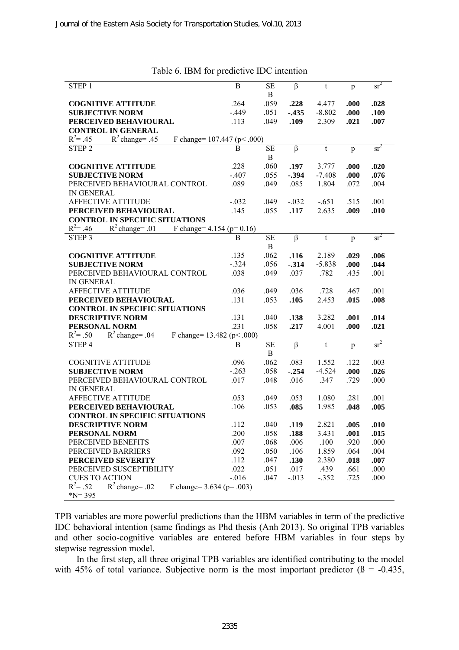| STEP <sub>1</sub>                                                  | B                | <b>SE</b>   | $\beta$  | t           | p    | $sr^2$ |
|--------------------------------------------------------------------|------------------|-------------|----------|-------------|------|--------|
|                                                                    |                  | B           |          |             |      |        |
| <b>COGNITIVE ATTITUDE</b>                                          | .264             | .059        | .228     | 4.477       | .000 | .028   |
| <b>SUBJECTIVE NORM</b>                                             | $-.449$          | .051        | $-.435$  | $-8.802$    | .000 | .109   |
| PERCEIVED BEHAVIOURAL                                              | .113             | .049        | .109     | 2.309       | .021 | .007   |
| <b>CONTROL IN GENERAL</b>                                          |                  |             |          |             |      |        |
| $R^2$ change= .45<br>$R^2 = .45$<br>F change= $107.447$ (p < .000) |                  |             |          |             |      |        |
| STEP <sub>2</sub>                                                  | B                | <b>SE</b>   | $\beta$  | t           | p    | $sr^2$ |
|                                                                    |                  | $\mathbf B$ |          |             |      |        |
| <b>COGNITIVE ATTITUDE</b>                                          | .228             | .060        | .197     | 3.777       | .000 | .020   |
| <b>SUBJECTIVE NORM</b>                                             | $-.407$          | .055        | $-.394$  | $-7.408$    | .000 | .076   |
| PERCEIVED BEHAVIOURAL CONTROL                                      | .089             | .049        | .085     | 1.804       | .072 | .004   |
| <b>IN GENERAL</b>                                                  |                  |             |          |             |      |        |
| <b>AFFECTIVE ATTITUDE</b>                                          | $-.032$          | .049        | $-.032$  | $-.651$     | .515 | .001   |
| PERCEIVED BEHAVIOURAL                                              | .145             | .055        | .117     | 2.635       | .009 | .010   |
| <b>CONTROL IN SPECIFIC SITUATIONS</b>                              |                  |             |          |             |      |        |
| $R^2 = .46$<br>$R^2$ change= .01<br>F change= $4.154$ (p= 0.16)    |                  |             |          |             |      |        |
| STEP <sub>3</sub>                                                  | B                | SЕ          | $\beta$  | $\mathsf t$ |      | $sr^2$ |
|                                                                    |                  |             |          |             | p    |        |
|                                                                    |                  | B           |          |             |      |        |
| <b>COGNITIVE ATTITUDE</b>                                          | .135             | .062        | .116     | 2.189       | .029 | .006   |
| <b>SUBJECTIVE NORM</b>                                             | $-.324$          | .056        | $-.314$  | $-5.838$    | .000 | .044   |
| PERCEIVED BEHAVIOURAL CONTROL                                      | .038             | .049        | .037     | .782        | .435 | .001   |
| <b>IN GENERAL</b>                                                  |                  |             |          |             |      |        |
| AFFECTIVE ATTITUDE                                                 | .036             | .049        | .036     | .728        | .467 | .001   |
| PERCEIVED BEHAVIOURAL                                              | .131             | .053        | .105     | 2.453       | .015 | .008   |
| <b>CONTROL IN SPECIFIC SITUATIONS</b>                              |                  |             |          |             |      |        |
| <b>DESCRIPTIVE NORM</b>                                            | .131             | .040        | .138     | 3.282       | .001 | .014   |
| PERSONAL NORM                                                      | .231             | .058        | .217     | 4.001       | .000 | .021   |
| $R^2 = .50$<br>$R^2$ change= .04<br>F change= $13.482$ (p < .000)  |                  |             |          |             |      |        |
| STEP <sub>4</sub>                                                  | $\boldsymbol{B}$ | <b>SE</b>   | $\beta$  | t           | p    | $sr^2$ |
|                                                                    |                  | B           |          |             |      |        |
| <b>COGNITIVE ATTITUDE</b>                                          | .096             | .062        | .083     | 1.552       | .122 | .003   |
| <b>SUBJECTIVE NORM</b>                                             | $-.263$          | .058        | $-.254$  | $-4.524$    | .000 | .026   |
| PERCEIVED BEHAVIOURAL CONTROL                                      | .017             | .048        | .016     | .347        | .729 | .000   |
| <b>IN GENERAL</b>                                                  |                  |             |          |             |      |        |
| <b>AFFECTIVE ATTITUDE</b>                                          | .053             | .049        | .053     | 1.080       | .281 | .001   |
| PERCEIVED BEHAVIOURAL                                              | .106             | .053        | .085     | 1.985       | .048 | .005   |
| <b>CONTROL IN SPECIFIC SITUATIONS</b>                              |                  |             |          |             |      |        |
| <b>DESCRIPTIVE NORM</b>                                            | .112             | .040        | .119     | 2.821       | .005 | .010   |
| PERSONAL NORM                                                      | .200             | .058        | .188     | 3.431       | .001 | .015   |
| PERCEIVED BENEFITS                                                 | .007             | .068        | .006     | .100        | .920 | .000   |
| PERCEIVED BARRIERS                                                 | .092             | .050        | .106     | 1.859       | .064 | .004   |
| PERCEIVED SEVERITY                                                 | .112             | .047        | .130     | 2.380       | .018 | .007   |
| PERCEIVED SUSCEPTIBILITY                                           | .022             | .051        | .017     | .439        | .661 | .000   |
| <b>CUES TO ACTION</b>                                              | $-0.016$         | .047        | $-0.013$ | $-.352$     | .725 | .000   |
| $R^2 = .52$<br>$R^2$ change= .02                                   |                  |             |          |             |      |        |
| F change= $3.634$ (p= .003)                                        |                  |             |          |             |      |        |
| $N = 395$                                                          |                  |             |          |             |      |        |

#### Table 6. IBM for predictive IDC intention

TPB variables are more powerful predictions than the HBM variables in term of the predictive IDC behavioral intention (same findings as Phd thesis [\(Anh 2013\)](#page-16-4). So original TPB variables and other socio-cognitive variables are entered before HBM variables in four steps by stepwise regression model.

In the first step, all three original TPB variables are identified contributing to the model with 45% of total variance. Subjective norm is the most important predictor  $(\beta = -0.435,$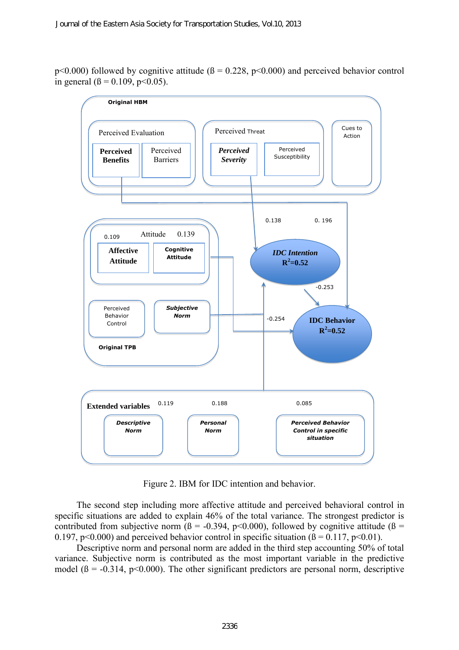$p<0.000$ ) followed by cognitive attitude ( $\beta = 0.228$ ,  $p<0.000$ ) and perceived behavior control in general ( $\beta = 0.109$ , p<0.05).



Figure 2. IBM for IDC intention and behavior.

The second step including more affective attitude and perceived behavioral control in specific situations are added to explain 46% of the total variance. The strongest predictor is contributed from subjective norm ( $\beta$  = -0.394, p<0.000), followed by cognitive attitude ( $\beta$  = 0.197, p<0.000) and perceived behavior control in specific situation ( $\beta = 0.117$ , p<0.01).

Descriptive norm and personal norm are added in the third step accounting 50% of total variance. Subjective norm is contributed as the most important variable in the predictive model ( $\beta$  = -0.314, p<0.000). The other significant predictors are personal norm, descriptive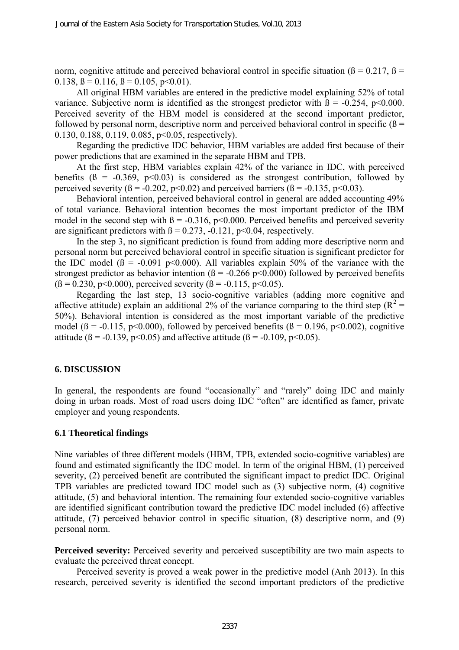norm, cognitive attitude and perceived behavioral control in specific situation ( $\beta$  = 0.217,  $\beta$  = 0.138,  $\beta = 0.116$ ,  $\beta = 0.105$ ,  $p < 0.01$ ).

All original HBM variables are entered in the predictive model explaining 52% of total variance. Subjective norm is identified as the strongest predictor with  $\beta = -0.254$ , p<0.000. Perceived severity of the HBM model is considered at the second important predictor, followed by personal norm, descriptive norm and perceived behavioral control in specific ( $\beta$  = 0.130, 0.188, 0.119, 0.085, p<0.05, respectively).

Regarding the predictive IDC behavior, HBM variables are added first because of their power predictions that are examined in the separate HBM and TPB.

At the first step, HBM variables explain 42% of the variance in IDC, with perceived benefits ( $\beta$  = -0.369, p<0.03) is considered as the strongest contribution, followed by perceived severity ( $\beta = -0.202$ ,  $p < 0.02$ ) and perceived barriers ( $\beta = -0.135$ ,  $p < 0.03$ ).

Behavioral intention, perceived behavioral control in general are added accounting 49% of total variance. Behavioral intention becomes the most important predictor of the IBM model in the second step with  $\beta$  = -0.316, p<0.000. Perceived benefits and perceived severity are significant predictors with  $\beta = 0.273$ , -0.121, p<0.04, respectively.

In the step 3, no significant prediction is found from adding more descriptive norm and personal norm but perceived behavioral control in specific situation is significant predictor for the IDC model  $(\beta = -0.091 \text{ p} < 0.000)$ . All variables explain 50% of the variance with the strongest predictor as behavior intention ( $\beta$  = -0.266 p<0.000) followed by perceived benefits  $(\beta = 0.230, p<0.000)$ , perceived severity  $(\beta = -0.115, p<0.05)$ .

Regarding the last step, 13 socio-cognitive variables (adding more cognitive and affective attitude) explain an additional 2% of the variance comparing to the third step ( $R^2$  = 50%). Behavioral intention is considered as the most important variable of the predictive model ( $\beta$  = -0.115, p<0.000), followed by perceived benefits ( $\beta$  = 0.196, p<0.002), cognitive attitude ( $\beta$  = -0.139, p<0.05) and affective attitude ( $\beta$  = -0.109, p<0.05).

## **6. DISCUSSION**

In general, the respondents are found "occasionally" and "rarely" doing IDC and mainly doing in urban roads. Most of road users doing IDC "often" are identified as famer, private employer and young respondents.

#### **6.1 Theoretical findings**

Nine variables of three different models (HBM, TPB, extended socio-cognitive variables) are found and estimated significantly the IDC model. In term of the original HBM, (1) perceived severity, (2) perceived benefit are contributed the significant impact to predict IDC. Original TPB variables are predicted toward IDC model such as (3) subjective norm, (4) cognitive attitude, (5) and behavioral intention. The remaining four extended socio-cognitive variables are identified significant contribution toward the predictive IDC model included (6) affective attitude, (7) perceived behavior control in specific situation, (8) descriptive norm, and (9) personal norm.

**Perceived severity:** Perceived severity and perceived susceptibility are two main aspects to evaluate the perceived threat concept.

Perceived severity is proved a weak power in the predictive model [\(Anh 2013\)](#page-16-4). In this research, perceived severity is identified the second important predictors of the predictive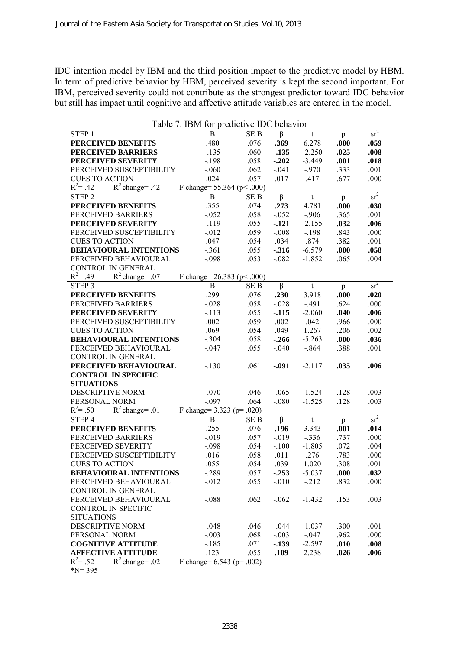IDC intention model by IBM and the third position impact to the predictive model by HBM. In term of predictive behavior by HBM, perceived severity is kept the second important. For IBM, perceived severity could not contribute as the strongest predictor toward IDC behavior but still has impact until cognitive and affective attitude variables are entered in the model.

| Table 7. IBM for predictive IDC behavior      |                               |                 |          |             |      |        |  |  |  |  |
|-----------------------------------------------|-------------------------------|-----------------|----------|-------------|------|--------|--|--|--|--|
| STEP <sub>1</sub>                             | B                             | <b>SEB</b>      | $\beta$  | t           | p    | $sr^2$ |  |  |  |  |
| PERCEIVED BENEFITS                            | .480                          | .076            | .369     | 6.278       | .000 | .059   |  |  |  |  |
| <b>PERCEIVED BARRIERS</b>                     | $-135$                        | .060            | $-135$   | $-2.250$    | .025 | .008   |  |  |  |  |
| PERCEIVED SEVERITY                            | $-.198$                       | .058            | $-.202$  | $-3.449$    | .001 | .018   |  |  |  |  |
| PERCEIVED SUSCEPTIBILITY                      | $-.060$                       | .062            | $-.041$  | $-.970$     | .333 | .001   |  |  |  |  |
| <b>CUES TO ACTION</b>                         | .024                          | .057            | .017     | .417        | .677 | .000   |  |  |  |  |
| $R^2$ change= .42<br>$R^2 = .42$              | F change= $55.364$ (p < .000) |                 |          |             |      |        |  |  |  |  |
| STEP <sub>2</sub>                             | $\mathbf B$                   | SE B            | $\beta$  | t           | p    | $sr^2$ |  |  |  |  |
| <b>PERCEIVED BENEFITS</b>                     | .355                          | .074            | .273     | 4.781       | .000 | .030   |  |  |  |  |
| PERCEIVED BARRIERS                            | $-.052$                       | .058            | $-.052$  | $-.906$     | .365 | .001   |  |  |  |  |
| PERCEIVED SEVERITY                            | $-119$                        | .055            | $-121$   | $-2.155$    | .032 | .006   |  |  |  |  |
| PERCEIVED SUSCEPTIBILITY                      | $-.012$                       | .059            | $-.008$  | $-.198$     | .843 | .000   |  |  |  |  |
| <b>CUES TO ACTION</b>                         | .047                          | .054            | .034     | .874        | .382 | .001   |  |  |  |  |
| <b>BEHAVIOURAL INTENTIONS</b>                 | $-.361$                       | .055            | $-316$   | $-6.579$    | .000 | .058   |  |  |  |  |
| PERCEIVED BEHAVIOURAL                         | $-.098$                       | .053            | $-.082$  | $-1.852$    | .065 | .004   |  |  |  |  |
| CONTROL IN GENERAL                            |                               |                 |          |             |      |        |  |  |  |  |
| $R^2$ change= .07<br>$R^2 = .49$              | F change= $26.383$ (p < .000) |                 |          |             |      |        |  |  |  |  |
| STEP <sub>3</sub>                             | $\mathbf B$                   | SE <sub>B</sub> | $\beta$  | $\mathbf t$ | p    | $sr^2$ |  |  |  |  |
| PERCEIVED BENEFITS                            | .299                          | .076            | .230     | 3.918       | .000 | .020   |  |  |  |  |
| PERCEIVED BARRIERS                            | $-.028$                       | .058            | $-.028$  | $-.491$     | .624 | .000   |  |  |  |  |
| PERCEIVED SEVERITY                            | $-.113$                       | .055            | $-.115$  | $-2.060$    | .040 | .006   |  |  |  |  |
| PERCEIVED SUSCEPTIBILITY                      | .002                          | .059            | .002     | .042        | .966 | .000   |  |  |  |  |
| <b>CUES TO ACTION</b>                         | .069                          | .054            | .049     | 1.267       | .206 | .002   |  |  |  |  |
| <b>BEHAVIOURAL INTENTIONS</b>                 | $-.304$                       | .058            | $-.266$  | $-5.263$    | .000 | .036   |  |  |  |  |
| PERCEIVED BEHAVIOURAL                         | $-.047$                       | .055            | $-.040$  | $-.864$     | .388 | .001   |  |  |  |  |
| CONTROL IN GENERAL                            |                               |                 |          |             |      |        |  |  |  |  |
| PERCEIVED BEHAVIOURAL                         | $-.130$                       | .061            | $-.091$  | $-2.117$    | .035 | .006   |  |  |  |  |
| <b>CONTROL IN SPECIFIC</b>                    |                               |                 |          |             |      |        |  |  |  |  |
| <b>SITUATIONS</b>                             |                               |                 |          |             |      |        |  |  |  |  |
| DESCRIPTIVE NORM                              | $-.070$                       | .046            | $-.065$  | $-1.524$    | .128 | .003   |  |  |  |  |
| PERSONAL NORM                                 | $-.097$                       | .064            | $-.080$  | $-1.525$    | .128 | .003   |  |  |  |  |
| $R^2 = .50$<br>$R^2$ change= .01              | F change= $3.323$ (p= .020)   |                 |          |             |      |        |  |  |  |  |
| STEP <sub>4</sub>                             | B                             | SE B            | $\beta$  | $\mathbf t$ | p    | $sr^2$ |  |  |  |  |
| PERCEIVED BENEFITS                            | .255                          | .076            | .196     | 3.343       | .001 | .014   |  |  |  |  |
| PERCEIVED BARRIERS                            | $-019$                        | .057            | $-0.019$ | $-.336$     | .737 | .000   |  |  |  |  |
| PERCEIVED SEVERITY                            | $-.098$                       | .054            | $-.100$  | $-1.805$    | .072 | .004   |  |  |  |  |
| PERCEIVED SUSCEPTIBILITY                      | .016                          | .058            | .011     | .276        | .783 | .000   |  |  |  |  |
| CUES TO ACTION                                | .055                          | .054            | .039     | 1.020       | .308 | .001   |  |  |  |  |
| <b>BEHAVIOURAL INTENTIONS</b>                 | $-.289$                       | .057            | $-.253$  | $-5.037$    | .000 | .032   |  |  |  |  |
| PERCEIVED BEHAVIOURAL                         | $-012$                        | .055            | $-.010$  | $-212$      | .832 | .000   |  |  |  |  |
| CONTROL IN GENERAL                            |                               |                 |          |             |      |        |  |  |  |  |
| PERCEIVED BEHAVIOURAL                         | $-.088$                       | .062            | $-.062$  | $-1.432$    | .153 | .003   |  |  |  |  |
| <b>CONTROL IN SPECIFIC</b>                    |                               |                 |          |             |      |        |  |  |  |  |
| <b>SITUATIONS</b>                             |                               |                 |          |             |      |        |  |  |  |  |
| DESCRIPTIVE NORM                              | $-.048$                       | .046            | $-0.044$ | $-1.037$    | .300 | .001   |  |  |  |  |
| PERSONAL NORM                                 | $-.003$                       | .068            | $-.003$  | $-.047$     | .962 | .000   |  |  |  |  |
| <b>COGNITIVE ATTITUDE</b>                     | $-.185$                       | .071            | $-.139$  | $-2.597$    | .010 | .008   |  |  |  |  |
| <b>AFFECTIVE ATTITUDE</b>                     | .123                          | .055            | .109     | 2.238       | .026 | .006   |  |  |  |  |
| $R^2 = .52$<br>$R^2$ change= .02<br>$N = 395$ | F change= $6.543$ (p= .002)   |                 |          |             |      |        |  |  |  |  |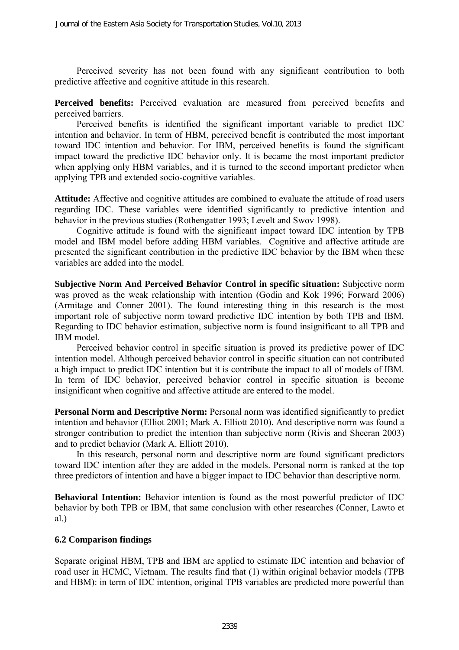Perceived severity has not been found with any significant contribution to both predictive affective and cognitive attitude in this research.

**Perceived benefits:** Perceived evaluation are measured from perceived benefits and perceived barriers.

Perceived benefits is identified the significant important variable to predict IDC intention and behavior. In term of HBM, perceived benefit is contributed the most important toward IDC intention and behavior. For IBM, perceived benefits is found the significant impact toward the predictive IDC behavior only. It is became the most important predictor when applying only HBM variables, and it is turned to the second important predictor when applying TPB and extended socio-cognitive variables.

**Attitude:** Affective and cognitive attitudes are combined to evaluate the attitude of road users regarding IDC. These variables were identified significantly to predictive intention and behavior in the previous studies [\(Rothengatter 1993;](#page-18-15) [Levelt and Swov 1998\)](#page-17-16).

Cognitive attitude is found with the significant impact toward IDC intention by TPB model and IBM model before adding HBM variables. Cognitive and affective attitude are presented the significant contribution in the predictive IDC behavior by the IBM when these variables are added into the model.

**Subjective Norm And Perceived Behavior Control in specific situation:** Subjective norm was proved as the weak relationship with intention [\(Godin and Kok 1996;](#page-17-17) [Forward 2006\)](#page-17-11) [\(Armitage and Conner 2001\)](#page-16-7). The found interesting thing in this research is the most important role of subjective norm toward predictive IDC intention by both TPB and IBM. Regarding to IDC behavior estimation, subjective norm is found insignificant to all TPB and IBM model.

Perceived behavior control in specific situation is proved its predictive power of IDC intention model. Although perceived behavior control in specific situation can not contributed a high impact to predict IDC intention but it is contribute the impact to all of models of IBM. In term of IDC behavior, perceived behavior control in specific situation is become insignificant when cognitive and affective attitude are entered to the model.

Personal Norm and Descriptive Norm: Personal norm was identified significantly to predict intention and behavior [\(Elliot 2001;](#page-17-18) [Mark A. Elliott 2010\)](#page-17-7). And descriptive norm was found a stronger contribution to predict the intention than subjective norm [\(Rivis and Sheeran 2003\)](#page-18-14) and to predict behavior [\(Mark A. Elliott 2010\)](#page-17-7).

In this research, personal norm and descriptive norm are found significant predictors toward IDC intention after they are added in the models. Personal norm is ranked at the top three predictors of intention and have a bigger impact to IDC behavior than descriptive norm.

**Behavioral Intention:** Behavior intention is found as the most powerful predictor of IDC behavior by both TPB or IBM, that same conclusion with other researches [\(Conner, Lawto et](#page-16-9)  [al.\)](#page-16-9)

#### **6.2 Comparison findings**

Separate original HBM, TPB and IBM are applied to estimate IDC intention and behavior of road user in HCMC, Vietnam. The results find that (1) within original behavior models (TPB and HBM): in term of IDC intention, original TPB variables are predicted more powerful than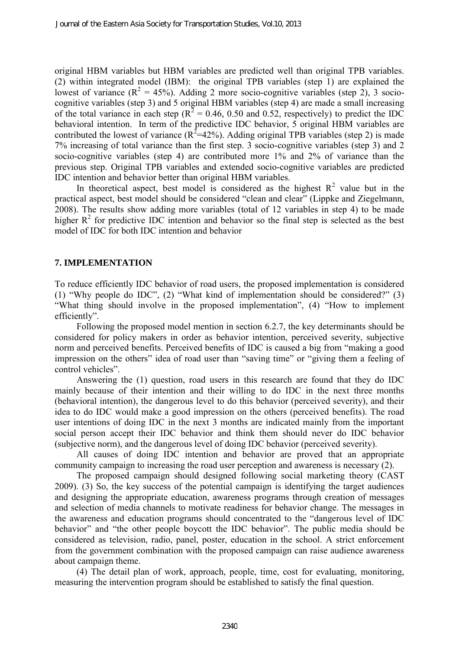original HBM variables but HBM variables are predicted well than original TPB variables. (2) within integrated model (IBM): the original TPB variables (step 1) are explained the lowest of variance  $(R^2 = 45\%)$ . Adding 2 more socio-cognitive variables (step 2), 3 sociocognitive variables (step 3) and 5 original HBM variables (step 4) are made a small increasing of the total variance in each step ( $R^2 = 0.46$ , 0.50 and 0.52, respectively) to predict the IDC behavioral intention. In term of the predictive IDC behavior, 5 original HBM variables are contributed the lowest of variance  $(R^2=42\%)$ . Adding original TPB variables (step 2) is made 7% increasing of total variance than the first step. 3 socio-cognitive variables (step 3) and 2 socio-cognitive variables (step 4) are contributed more 1% and 2% of variance than the previous step. Original TPB variables and extended socio-cognitive variables are predicted IDC intention and behavior better than original HBM variables.

In theoretical aspect, best model is considered as the highest  $R^2$  value but in the practical aspect, best model should be considered "clean and clear" (Lippke and Ziegelmann, 2008). The results show adding more variables (total of 12 variables in step 4) to be made higher  $R^2$  for predictive IDC intention and behavior so the final step is selected as the best model of IDC for both IDC intention and behavior

#### **7. IMPLEMENTATION**

To reduce efficiently IDC behavior of road users, the proposed implementation is considered (1) "Why people do IDC", (2) "What kind of implementation should be considered?" (3) "What thing should involve in the proposed implementation", (4) "How to implement efficiently".

Following the proposed model mention in section 6.2.7, the key determinants should be considered for policy makers in order as behavior intention, perceived severity, subjective norm and perceived benefits. Perceived benefits of IDC is caused a big from "making a good impression on the others" idea of road user than "saving time" or "giving them a feeling of control vehicles".

Answering the (1) question, road users in this research are found that they do IDC mainly because of their intention and their willing to do IDC in the next three months (behavioral intention), the dangerous level to do this behavior (perceived severity), and their idea to do IDC would make a good impression on the others (perceived benefits). The road user intentions of doing IDC in the next 3 months are indicated mainly from the important social person accept their IDC behavior and think them should never do IDC behavior (subjective norm), and the dangerous level of doing IDC behavior (perceived severity).

All causes of doing IDC intention and behavior are proved that an appropriate community campaign to increasing the road user perception and awareness is necessary (2).

The proposed campaign should designed following social marketing theory [\(CAST](#page-16-5)  [2009\)](#page-16-5). (3) So, the key success of the potential campaign is identifying the target audiences and designing the appropriate education, awareness programs through creation of messages and selection of media channels to motivate readiness for behavior change. The messages in the awareness and education programs should concentrated to the "dangerous level of IDC behavior" and "the other people boycott the IDC behavior". The public media should be considered as television, radio, panel, poster, education in the school. A strict enforcement from the government combination with the proposed campaign can raise audience awareness about campaign theme.

(4) The detail plan of work, approach, people, time, cost for evaluating, monitoring, measuring the intervention program should be established to satisfy the final question.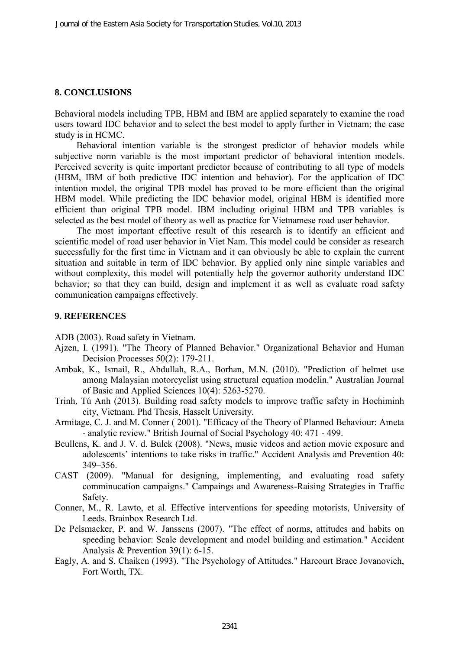#### **8. CONCLUSIONS**

Behavioral models including TPB, HBM and IBM are applied separately to examine the road users toward IDC behavior and to select the best model to apply further in Vietnam; the case study is in HCMC.

Behavioral intention variable is the strongest predictor of behavior models while subjective norm variable is the most important predictor of behavioral intention models. Perceived severity is quite important predictor because of contributing to all type of models (HBM, IBM of both predictive IDC intention and behavior). For the application of IDC intention model, the original TPB model has proved to be more efficient than the original HBM model. While predicting the IDC behavior model, original HBM is identified more efficient than original TPB model. IBM including original HBM and TPB variables is selected as the best model of theory as well as practice for Vietnamese road user behavior.

The most important effective result of this research is to identify an efficient and scientific model of road user behavior in Viet Nam. This model could be consider as research successfully for the first time in Vietnam and it can obviously be able to explain the current situation and suitable in term of IDC behavior. By applied only nine simple variables and without complexity, this model will potentially help the governor authority understand IDC behavior; so that they can build, design and implement it as well as evaluate road safety communication campaigns effectively.

#### **9. REFERENCES**

<span id="page-16-0"></span>ADB (2003). Road safety in Vietnam.

- <span id="page-16-3"></span>Ajzen, I. (1991). "The Theory of Planned Behavior." Organizational Behavior and Human Decision Processes 50(2): 179-211.
- <span id="page-16-6"></span>Ambak, K., Ismail, R., Abdullah, R.A., Borhan, M.N. (2010). "Prediction of helmet use among Malaysian motorcyclist using structural equation modelin." Australian Journal of Basic and Applied Sciences 10(4): 5263-5270.
- <span id="page-16-4"></span>Trinh, Tú Anh (2013). Building road safety models to improve traffic safety in Hochiminh city, Vietnam. Phd Thesis, Hasselt University.
- <span id="page-16-7"></span>Armitage, C. J. and M. Conner ( 2001). "Efficacy of the Theory of Planned Behaviour: Ameta - analytic review." British Journal of Social Psychology 40: 471 - 499.
- <span id="page-16-1"></span>Beullens, K. and J. V. d. Bulck (2008). "News, music videos and action movie exposure and adolescents' intentions to take risks in traffic." Accident Analysis and Prevention 40: 349–356.
- <span id="page-16-5"></span>CAST (2009). "Manual for designing, implementing, and evaluating road safety comminucation campaigns." Campaings and Awareness-Raising Strategies in Traffic Safety.
- <span id="page-16-9"></span>Conner, M., R. Lawto, et al. Effective interventions for speeding motorists, University of Leeds. Brainbox Research Ltd.
- <span id="page-16-2"></span>De Pelsmacker, P. and W. Janssens (2007). "The effect of norms, attitudes and habits on speeding behavior: Scale development and model building and estimation." Accident Analysis & Prevention 39(1): 6-15.
- <span id="page-16-8"></span>Eagly, A. and S. Chaiken (1993). "The Psychology of Attitudes." Harcourt Brace Jovanovich, Fort Worth, TX.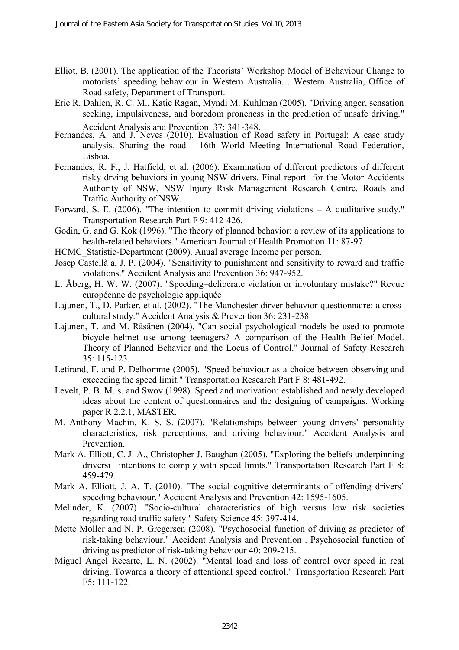- <span id="page-17-18"></span>Elliot, B. (2001). The application of the Theorists' Workshop Model of Behaviour Change to motorists' speeding behaviour in Western Australia. . Western Australia, Office of Road safety, Department of Transport.
- <span id="page-17-5"></span>Eric R. Dahlen, R. C. M., Katie Ragan, Myndi M. Kuhlman (2005). "Driving anger, sensation seeking, impulsiveness, and boredom proneness in the prediction of unsafe driving." Accident Analysis and Prevention 37: 341-348.
- <span id="page-17-14"></span>Fernandes, A. and J. Neves (2010). Evaluation of Road safety in Portugal: A case study analysis. Sharing the road - 16th World Meeting International Road Federation, Lisboa.
- <span id="page-17-13"></span>Fernandes, R. F., J. Hatfield, et al. (2006). Examination of different predictors of different risky drving behaviors in young NSW drivers. Final report for the Motor Accidents Authority of NSW, NSW Injury Risk Management Research Centre. Roads and Traffic Authority of NSW.
- <span id="page-17-11"></span>Forward, S. E. (2006). "The intention to commit driving violations  $- A$  qualitative study." Transportation Research Part F 9: 412-426.
- <span id="page-17-17"></span>Godin, G. and G. Kok (1996). "The theory of planned behavior: a review of its applications to health-related behaviors." American Journal of Health Promotion 11: 87-97.
- <span id="page-17-0"></span>HCMC\_Statistic-Department (2009). Anual average Income per person.
- <span id="page-17-4"></span>Josep Castellà a, J. P. (2004). "Sensitivity to punishment and sensitivity to reward and traffic violations." Accident Analysis and Prevention 36: 947-952.
- <span id="page-17-12"></span>L. Åberg, H. W. W. (2007). "Speeding–deliberate violation or involuntary mistake?" Revue européenne de psychologie appliquée
- <span id="page-17-1"></span>Lajunen, T., D. Parker, et al. (2002). "The Manchester dirver behavior questionnaire: a crosscultural study." Accident Analysis & Prevention 36: 231-238.
- <span id="page-17-15"></span>Lajunen, T. and M. Räsänen (2004). "Can social psychological models be used to promote bicycle helmet use among teenagers? A comparison of the Health Belief Model. Theory of Planned Behavior and the Locus of Control." Journal of Safety Research 35: 115-123.
- <span id="page-17-9"></span>Letirand, F. and P. Delhomme (2005). "Speed behaviour as a choice between observing and exceeding the speed limit." Transportation Research Part F 8: 481-492.
- <span id="page-17-16"></span>Levelt, P. B. M. s. and Swov (1998). Speed and motivation: established and newly developed ideas about the content of questionnaires and the designing of campaigns. Working paper R 2.2.1, MASTER.
- <span id="page-17-2"></span>M. Anthony Machin, K. S. S. (2007). "Relationships between young drivers' personality characteristics, risk perceptions, and driving behaviour." Accident Analysis and Prevention.
- <span id="page-17-10"></span>Mark A. Elliott, C. J. A., Christopher J. Baughan (2005). "Exploring the beliefs underpinning driversı intentions to comply with speed limits." Transportation Research Part F 8: 459-479.
- <span id="page-17-7"></span>Mark A. Elliott, J. A. T. (2010). "The social cognitive determinants of offending drivers' speeding behaviour." Accident Analysis and Prevention 42: 1595-1605.
- <span id="page-17-8"></span>Melinder, K. (2007). "Socio-cultural characteristics of high versus low risk societies regarding road traffic safety." Safety Science 45: 397-414.
- <span id="page-17-6"></span>Mette Moller and N. P. Gregersen (2008). "Psychosocial function of driving as predictor of risk-taking behaviour." Accident Analysis and Prevention . Psychosocial function of driving as predictor of risk-taking behaviour 40: 209-215.
- <span id="page-17-3"></span>Miguel Angel Recarte, L. N. (2002). "Mental load and loss of control over speed in real driving. Towards a theory of attentional speed control." Transportation Research Part F5: 111-122.